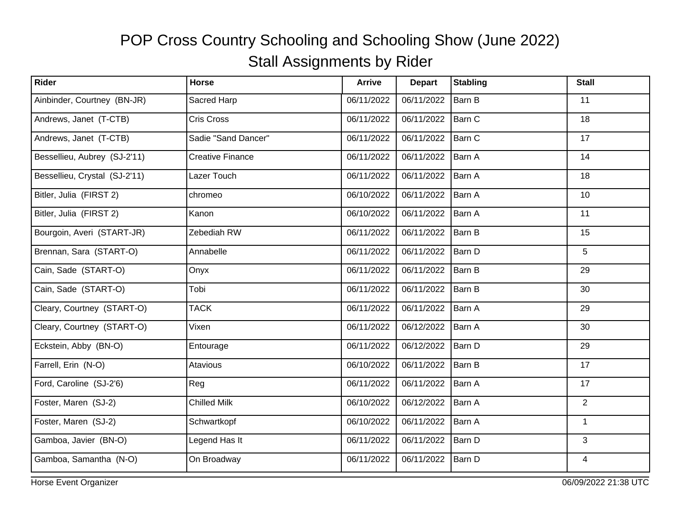| Rider                         | Horse                   | <b>Arrive</b> | <b>Depart</b> | <b>Stabling</b> | <b>Stall</b>   |
|-------------------------------|-------------------------|---------------|---------------|-----------------|----------------|
| Ainbinder, Courtney (BN-JR)   | Sacred Harp             | 06/11/2022    | 06/11/2022    | Barn B          | 11             |
| Andrews, Janet (T-CTB)        | Cris Cross              | 06/11/2022    | 06/11/2022    | Barn C          | 18             |
| Andrews, Janet (T-CTB)        | Sadie "Sand Dancer"     | 06/11/2022    | 06/11/2022    | Barn C          | 17             |
| Bessellieu, Aubrey (SJ-2'11)  | <b>Creative Finance</b> | 06/11/2022    | 06/11/2022    | Barn A          | 14             |
| Bessellieu, Crystal (SJ-2'11) | Lazer Touch             | 06/11/2022    | 06/11/2022    | Barn A          | 18             |
| Bitler, Julia (FIRST 2)       | chromeo                 | 06/10/2022    | 06/11/2022    | Barn A          | 10             |
| Bitler, Julia (FIRST 2)       | Kanon                   | 06/10/2022    | 06/11/2022    | Barn A          | 11             |
| Bourgoin, Averi (START-JR)    | Zebediah RW             | 06/11/2022    | 06/11/2022    | Barn B          | 15             |
| Brennan, Sara (START-O)       | Annabelle               | 06/11/2022    | 06/11/2022    | Barn D          | 5              |
| Cain, Sade (START-O)          | Onyx                    | 06/11/2022    | 06/11/2022    | Barn B          | 29             |
| Cain, Sade (START-O)          | Tobi                    | 06/11/2022    | 06/11/2022    | Barn B          | 30             |
| Cleary, Courtney (START-O)    | <b>TACK</b>             | 06/11/2022    | 06/11/2022    | <b>Barn A</b>   | 29             |
| Cleary, Courtney (START-O)    | Vixen                   | 06/11/2022    | 06/12/2022    | Barn A          | 30             |
| Eckstein, Abby (BN-O)         | Entourage               | 06/11/2022    | 06/12/2022    | Barn D          | 29             |
| Farrell, Erin (N-O)           | Atavious                | 06/10/2022    | 06/11/2022    | Barn B          | 17             |
| Ford, Caroline (SJ-2'6)       | Reg                     | 06/11/2022    | 06/11/2022    | Barn A          | 17             |
| Foster, Maren (SJ-2)          | <b>Chilled Milk</b>     | 06/10/2022    | 06/12/2022    | Barn A          | $\overline{2}$ |
| Foster, Maren (SJ-2)          | Schwartkopf             | 06/10/2022    | 06/11/2022    | Barn A          | $\mathbf{1}$   |
| Gamboa, Javier (BN-O)         | Legend Has It           | 06/11/2022    | 06/11/2022    | Barn D          | 3              |
| Gamboa, Samantha (N-O)        | On Broadway             | 06/11/2022    | 06/11/2022    | Barn D          | 4              |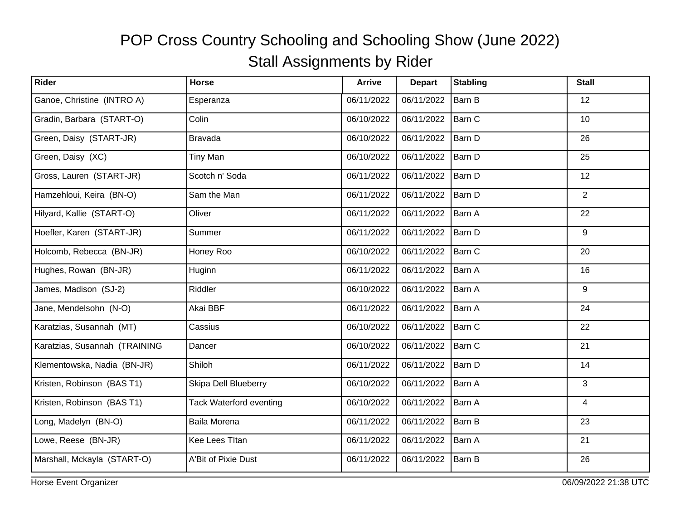| Rider                         | Horse                          | <b>Arrive</b> | <b>Depart</b> | <b>Stabling</b> | <b>Stall</b>   |
|-------------------------------|--------------------------------|---------------|---------------|-----------------|----------------|
| Ganoe, Christine (INTRO A)    | Esperanza                      | 06/11/2022    | 06/11/2022    | Barn B          | 12             |
| Gradin, Barbara (START-O)     | Colin                          | 06/10/2022    | 06/11/2022    | Barn C          | 10             |
| Green, Daisy (START-JR)       | <b>Bravada</b>                 | 06/10/2022    | 06/11/2022    | Barn D          | 26             |
| Green, Daisy (XC)             | <b>Tiny Man</b>                | 06/10/2022    | 06/11/2022    | Barn D          | 25             |
| Gross, Lauren (START-JR)      | Scotch n' Soda                 | 06/11/2022    | 06/11/2022    | Barn D          | 12             |
| Hamzehloui, Keira (BN-O)      | Sam the Man                    | 06/11/2022    | 06/11/2022    | Barn D          | $\overline{2}$ |
| Hilyard, Kallie (START-O)     | Oliver                         | 06/11/2022    | 06/11/2022    | Barn A          | 22             |
| Hoefler, Karen (START-JR)     | Summer                         | 06/11/2022    | 06/11/2022    | Barn D          | 9              |
| Holcomb, Rebecca (BN-JR)      | Honey Roo                      | 06/10/2022    | 06/11/2022    | Barn C          | 20             |
| Hughes, Rowan (BN-JR)         | Huginn                         | 06/11/2022    | 06/11/2022    | Barn A          | 16             |
| James, Madison (SJ-2)         | Riddler                        | 06/10/2022    | 06/11/2022    | Barn A          | 9              |
| Jane, Mendelsohn (N-O)        | Akai BBF                       | 06/11/2022    | 06/11/2022    | Barn A          | 24             |
| Karatzias, Susannah (MT)      | Cassius                        | 06/10/2022    | 06/11/2022    | Barn C          | 22             |
| Karatzias, Susannah (TRAINING | Dancer                         | 06/10/2022    | 06/11/2022    | Barn C          | 21             |
| Klementowska, Nadia (BN-JR)   | Shiloh                         | 06/11/2022    | 06/11/2022    | Barn D          | 14             |
| Kristen, Robinson (BAS T1)    | Skipa Dell Blueberry           | 06/10/2022    | 06/11/2022    | Barn A          | 3              |
| Kristen, Robinson (BAS T1)    | <b>Tack Waterford eventing</b> | 06/10/2022    | 06/11/2022    | Barn A          | $\overline{4}$ |
| Long, Madelyn (BN-O)          | Baila Morena                   | 06/11/2022    | 06/11/2022    | Barn B          | 23             |
| Lowe, Reese (BN-JR)           | Kee Lees Titan                 | 06/11/2022    | 06/11/2022    | Barn A          | 21             |
| Marshall, Mckayla (START-O)   | A'Bit of Pixie Dust            | 06/11/2022    | 06/11/2022    | Barn B          | 26             |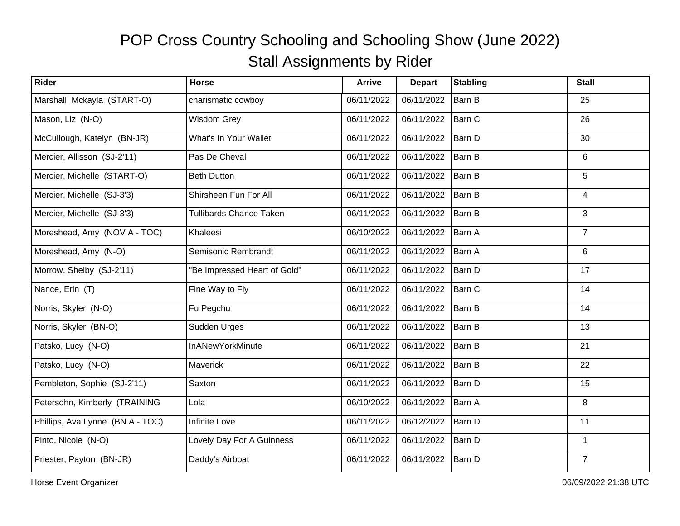| Rider                            | <b>Horse</b>                   | <b>Arrive</b> | <b>Depart</b> | <b>Stabling</b> | <b>Stall</b>   |
|----------------------------------|--------------------------------|---------------|---------------|-----------------|----------------|
| Marshall, Mckayla (START-O)      | charismatic cowboy             | 06/11/2022    | 06/11/2022    | Barn B          | 25             |
| Mason, Liz (N-O)                 | Wisdom Grey                    | 06/11/2022    | 06/11/2022    | Barn C          | 26             |
| McCullough, Katelyn (BN-JR)      | What's In Your Wallet          | 06/11/2022    | 06/11/2022    | Barn D          | 30             |
| Mercier, Allisson (SJ-2'11)      | Pas De Cheval                  | 06/11/2022    | 06/11/2022    | Barn B          | 6              |
| Mercier, Michelle (START-O)      | <b>Beth Dutton</b>             | 06/11/2022    | 06/11/2022    | Barn B          | 5              |
| Mercier, Michelle (SJ-3'3)       | Shirsheen Fun For All          | 06/11/2022    | 06/11/2022    | Barn B          | $\overline{4}$ |
| Mercier, Michelle (SJ-3'3)       | <b>Tullibards Chance Taken</b> | 06/11/2022    | 06/11/2022    | Barn B          | 3              |
| Moreshead, Amy (NOV A - TOC)     | Khaleesi                       | 06/10/2022    | 06/11/2022    | Barn A          | $\overline{7}$ |
| Moreshead, Amy (N-O)             | Semisonic Rembrandt            | 06/11/2022    | 06/11/2022    | Barn A          | 6              |
| Morrow, Shelby (SJ-2'11)         | 'Be Impressed Heart of Gold"   | 06/11/2022    | 06/11/2022    | Barn D          | 17             |
| Nance, Erin (T)                  | Fine Way to Fly                | 06/11/2022    | 06/11/2022    | Barn C          | 14             |
| Norris, Skyler (N-O)             | Fu Pegchu                      | 06/11/2022    | 06/11/2022    | Barn B          | 14             |
| Norris, Skyler (BN-O)            | Sudden Urges                   | 06/11/2022    | 06/11/2022    | Barn B          | 13             |
| Patsko, Lucy (N-O)               | <b>InANewYorkMinute</b>        | 06/11/2022    | 06/11/2022    | Barn B          | 21             |
| Patsko, Lucy (N-O)               | Maverick                       | 06/11/2022    | 06/11/2022    | Barn B          | 22             |
| Pembleton, Sophie (SJ-2'11)      | Saxton                         | 06/11/2022    | 06/11/2022    | Barn D          | 15             |
| Petersohn, Kimberly (TRAINING    | Lola                           | 06/10/2022    | 06/11/2022    | Barn A          | 8              |
| Phillips, Ava Lynne (BN A - TOC) | Infinite Love                  | 06/11/2022    | 06/12/2022    | Barn D          | 11             |
| Pinto, Nicole (N-O)              | Lovely Day For A Guinness      | 06/11/2022    | 06/11/2022    | Barn D          | $\mathbf{1}$   |
| Priester, Payton (BN-JR)         | Daddy's Airboat                | 06/11/2022    | 06/11/2022    | Barn D          | $\overline{7}$ |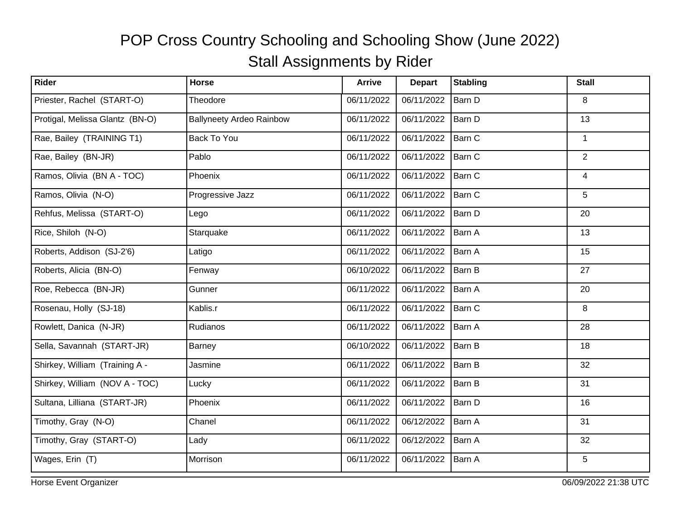| Rider                           | Horse                           | <b>Arrive</b> | <b>Depart</b> | <b>Stabling</b> | <b>Stall</b>   |
|---------------------------------|---------------------------------|---------------|---------------|-----------------|----------------|
| Priester, Rachel (START-O)      | Theodore                        | 06/11/2022    | 06/11/2022    | Barn D          | 8              |
| Protigal, Melissa Glantz (BN-O) | <b>Ballyneety Ardeo Rainbow</b> | 06/11/2022    | 06/11/2022    | Barn D          | 13             |
| Rae, Bailey (TRAINING T1)       | Back To You                     | 06/11/2022    | 06/11/2022    | Barn C          | $\mathbf{1}$   |
| Rae, Bailey (BN-JR)             | Pablo                           | 06/11/2022    | 06/11/2022    | Barn C          | $\overline{2}$ |
| Ramos, Olivia (BN A - TOC)      | Phoenix                         | 06/11/2022    | 06/11/2022    | Barn C          | 4              |
| Ramos, Olivia (N-O)             | Progressive Jazz                | 06/11/2022    | 06/11/2022    | Barn C          | 5              |
| Rehfus, Melissa (START-O)       | Lego                            | 06/11/2022    | 06/11/2022    | Barn D          | 20             |
| Rice, Shiloh (N-O)              | Starquake                       | 06/11/2022    | 06/11/2022    | Barn A          | 13             |
| Roberts, Addison (SJ-2'6)       | Latigo                          | 06/11/2022    | 06/11/2022    | Barn A          | 15             |
| Roberts, Alicia (BN-O)          | Fenway                          | 06/10/2022    | 06/11/2022    | Barn B          | 27             |
| Roe, Rebecca (BN-JR)            | Gunner                          | 06/11/2022    | 06/11/2022    | Barn A          | 20             |
| Rosenau, Holly (SJ-18)          | Kablis.r                        | 06/11/2022    | 06/11/2022    | Barn C          | 8              |
| Rowlett, Danica (N-JR)          | Rudianos                        | 06/11/2022    | 06/11/2022    | Barn A          | 28             |
| Sella, Savannah (START-JR)      | Barney                          | 06/10/2022    | 06/11/2022    | Barn B          | 18             |
| Shirkey, William (Training A -  | Jasmine                         | 06/11/2022    | 06/11/2022    | Barn B          | 32             |
| Shirkey, William (NOV A - TOC)  | Lucky                           | 06/11/2022    | 06/11/2022    | Barn B          | 31             |
| Sultana, Lilliana (START-JR)    | Phoenix                         | 06/11/2022    | 06/11/2022    | Barn D          | 16             |
| Timothy, Gray (N-O)             | Chanel                          | 06/11/2022    | 06/12/2022    | Barn A          | 31             |
| Timothy, Gray (START-O)         | Lady                            | 06/11/2022    | 06/12/2022    | Barn A          | 32             |
| Wages, Erin (T)                 | Morrison                        | 06/11/2022    | 06/11/2022    | Barn A          | 5              |